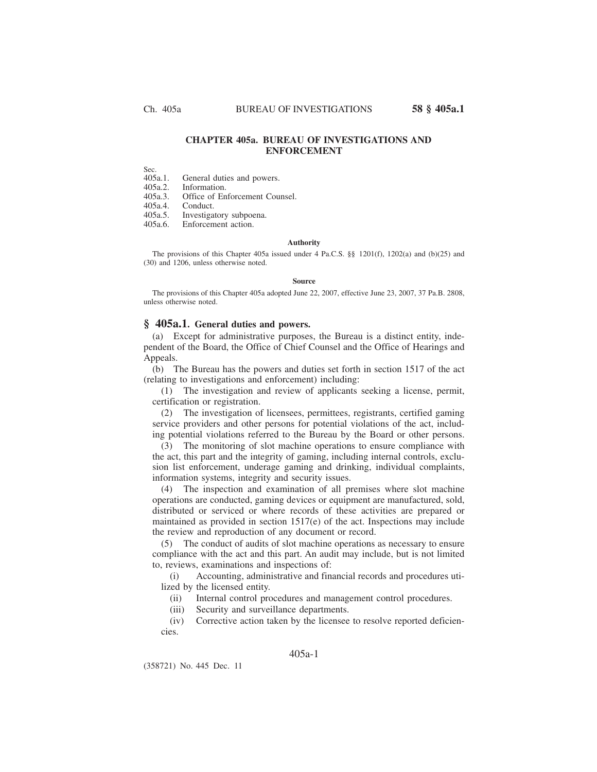# **CHAPTER 405a. BUREAU OF INVESTIGATIONS AND ENFORCEMENT**

Sec.<br>405a.1. 405a.1. General duties and powers.<br>405a.2. Information.

405a.2. Information.

405a.3. Office of Enforcement Counsel.<br>405a.4. Conduct.

405a.4. Conduct.<br>405a.5. Investiga

405a.5. Investigatory subpoena.<br>405a.6 Enforcement action

Enforcement action.

### **Authority**

The provisions of this Chapter 405a issued under 4 Pa.C.S. §§ 1201(f), 1202(a) and (b)(25) and (30) and 1206, unless otherwise noted.

#### **Source**

The provisions of this Chapter 405a adopted June 22, 2007, effective June 23, 2007, 37 Pa.B. 2808, unless otherwise noted.

## **§ 405a.1. General duties and powers.**

(a) Except for administrative purposes, the Bureau is a distinct entity, independent of the Board, the Office of Chief Counsel and the Office of Hearings and Appeals.

(b) The Bureau has the powers and duties set forth in section 1517 of the act (relating to investigations and enforcement) including:

(1) The investigation and review of applicants seeking a license, permit, certification or registration.

(2) The investigation of licensees, permittees, registrants, certified gaming service providers and other persons for potential violations of the act, including potential violations referred to the Bureau by the Board or other persons.

(3) The monitoring of slot machine operations to ensure compliance with the act, this part and the integrity of gaming, including internal controls, exclusion list enforcement, underage gaming and drinking, individual complaints, information systems, integrity and security issues.

(4) The inspection and examination of all premises where slot machine operations are conducted, gaming devices or equipment are manufactured, sold, distributed or serviced or where records of these activities are prepared or maintained as provided in section 1517(e) of the act. Inspections may include the review and reproduction of any document or record.

(5) The conduct of audits of slot machine operations as necessary to ensure compliance with the act and this part. An audit may include, but is not limited to, reviews, examinations and inspections of:

(i) Accounting, administrative and financial records and procedures utilized by the licensed entity.

(ii) Internal control procedures and management control procedures.

(iii) Security and surveillance departments.

(iv) Corrective action taken by the licensee to resolve reported deficiencies.

# 405a-1

(358721) No. 445 Dec. 11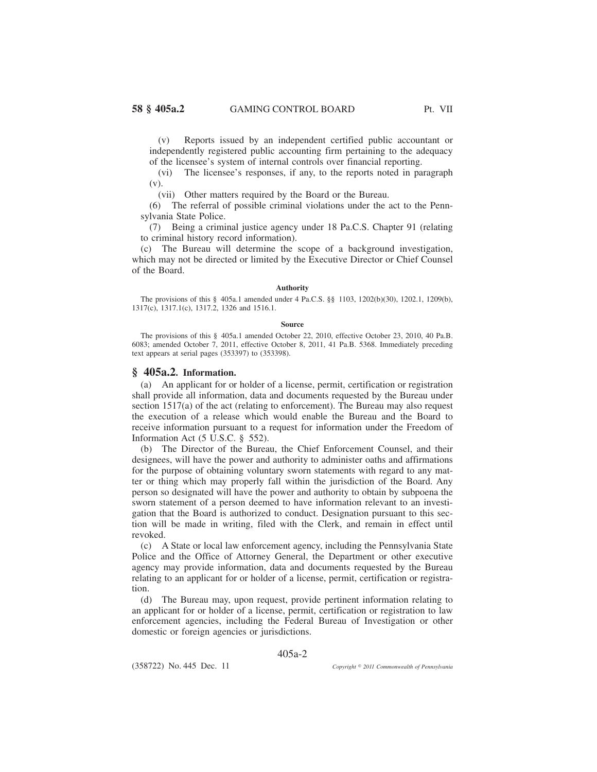(v) Reports issued by an independent certified public accountant or independently registered public accounting firm pertaining to the adequacy of the licensee's system of internal controls over financial reporting.

(vi) The licensee's responses, if any, to the reports noted in paragraph (v).

(vii) Other matters required by the Board or the Bureau.

(6) The referral of possible criminal violations under the act to the Pennsylvania State Police.

(7) Being a criminal justice agency under 18 Pa.C.S. Chapter 91 (relating to criminal history record information).

(c) The Bureau will determine the scope of a background investigation, which may not be directed or limited by the Executive Director or Chief Counsel of the Board.

#### **Authority**

The provisions of this § 405a.1 amended under 4 Pa.C.S. §§ 1103, 1202(b)(30), 1202.1, 1209(b), 1317(c), 1317.1(c), 1317.2, 1326 and 1516.1.

#### **Source**

The provisions of this § 405a.1 amended October 22, 2010, effective October 23, 2010, 40 Pa.B. 6083; amended October 7, 2011, effective October 8, 2011, 41 Pa.B. 5368. Immediately preceding text appears at serial pages (353397) to (353398).

## **§ 405a.2. Information.**

(a) An applicant for or holder of a license, permit, certification or registration shall provide all information, data and documents requested by the Bureau under section 1517(a) of the act (relating to enforcement). The Bureau may also request the execution of a release which would enable the Bureau and the Board to receive information pursuant to a request for information under the Freedom of Information Act (5 U.S.C. § 552).

(b) The Director of the Bureau, the Chief Enforcement Counsel, and their designees, will have the power and authority to administer oaths and affirmations for the purpose of obtaining voluntary sworn statements with regard to any matter or thing which may properly fall within the jurisdiction of the Board. Any person so designated will have the power and authority to obtain by subpoena the sworn statement of a person deemed to have information relevant to an investigation that the Board is authorized to conduct. Designation pursuant to this section will be made in writing, filed with the Clerk, and remain in effect until revoked.

(c) A State or local law enforcement agency, including the Pennsylvania State Police and the Office of Attorney General, the Department or other executive agency may provide information, data and documents requested by the Bureau relating to an applicant for or holder of a license, permit, certification or registration.

(d) The Bureau may, upon request, provide pertinent information relating to an applicant for or holder of a license, permit, certification or registration to law enforcement agencies, including the Federal Bureau of Investigation or other domestic or foreign agencies or jurisdictions.

405a-2

(358722) No. 445 Dec. 11

*2011 Commonwealth of Pennsylvania*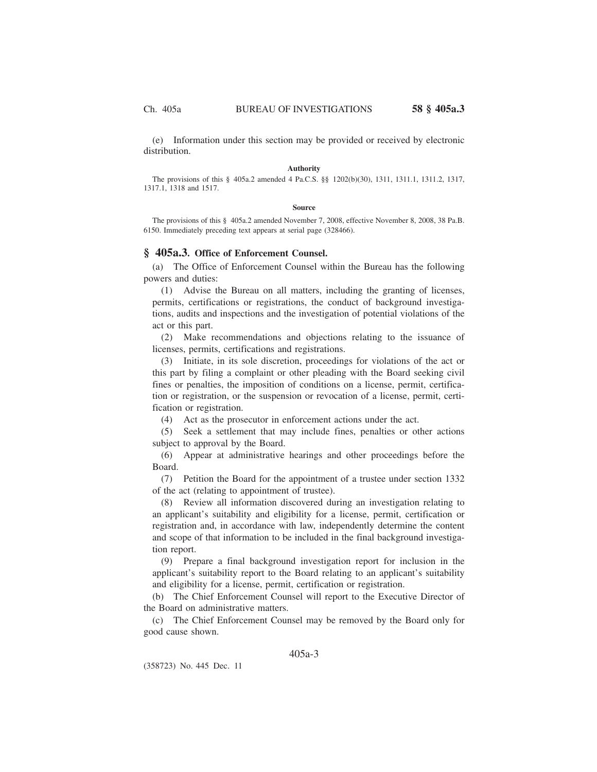(e) Information under this section may be provided or received by electronic distribution.

#### **Authority**

The provisions of this § 405a.2 amended 4 Pa.C.S. §§ 1202(b)(30), 1311, 1311.1, 1311.2, 1317, 1317.1, 1318 and 1517.

#### **Source**

The provisions of this § 405a.2 amended November 7, 2008, effective November 8, 2008, 38 Pa.B. 6150. Immediately preceding text appears at serial page (328466).

## **§ 405a.3. Office of Enforcement Counsel.**

(a) The Office of Enforcement Counsel within the Bureau has the following powers and duties:

(1) Advise the Bureau on all matters, including the granting of licenses, permits, certifications or registrations, the conduct of background investigations, audits and inspections and the investigation of potential violations of the act or this part.

(2) Make recommendations and objections relating to the issuance of licenses, permits, certifications and registrations.

(3) Initiate, in its sole discretion, proceedings for violations of the act or this part by filing a complaint or other pleading with the Board seeking civil fines or penalties, the imposition of conditions on a license, permit, certification or registration, or the suspension or revocation of a license, permit, certification or registration.

(4) Act as the prosecutor in enforcement actions under the act.

(5) Seek a settlement that may include fines, penalties or other actions subject to approval by the Board.

(6) Appear at administrative hearings and other proceedings before the Board.

(7) Petition the Board for the appointment of a trustee under section 1332 of the act (relating to appointment of trustee).

(8) Review all information discovered during an investigation relating to an applicant's suitability and eligibility for a license, permit, certification or registration and, in accordance with law, independently determine the content and scope of that information to be included in the final background investigation report.

(9) Prepare a final background investigation report for inclusion in the applicant's suitability report to the Board relating to an applicant's suitability and eligibility for a license, permit, certification or registration.

(b) The Chief Enforcement Counsel will report to the Executive Director of the Board on administrative matters.

(c) The Chief Enforcement Counsel may be removed by the Board only for good cause shown.

# 405a-3

(358723) No. 445 Dec. 11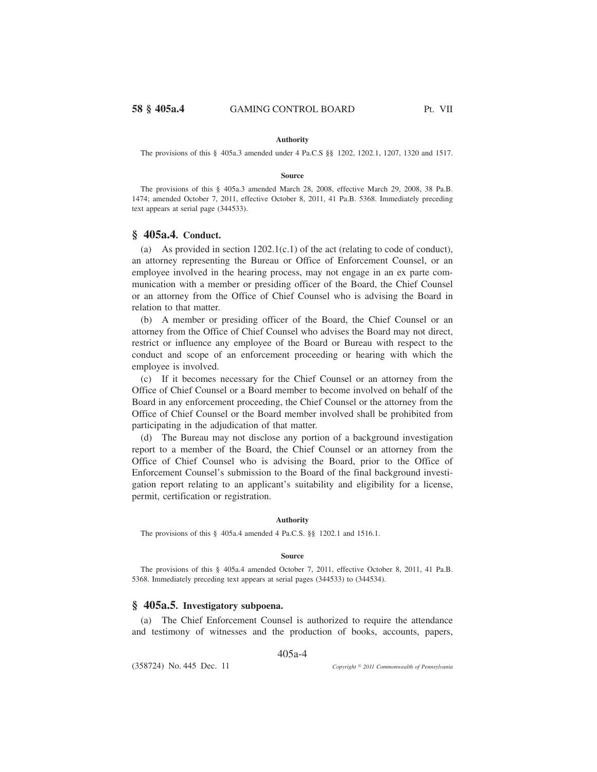## **Authority**

The provisions of this § 405a.3 amended under 4 Pa.C.S §§ 1202, 1202.1, 1207, 1320 and 1517.

#### **Source**

The provisions of this § 405a.3 amended March 28, 2008, effective March 29, 2008, 38 Pa.B. 1474; amended October 7, 2011, effective October 8, 2011, 41 Pa.B. 5368. Immediately preceding text appears at serial page (344533).

# **§ 405a.4. Conduct.**

(a) As provided in section  $1202.1(c.1)$  of the act (relating to code of conduct), an attorney representing the Bureau or Office of Enforcement Counsel, or an employee involved in the hearing process, may not engage in an ex parte communication with a member or presiding officer of the Board, the Chief Counsel or an attorney from the Office of Chief Counsel who is advising the Board in relation to that matter.

(b) A member or presiding officer of the Board, the Chief Counsel or an attorney from the Office of Chief Counsel who advises the Board may not direct, restrict or influence any employee of the Board or Bureau with respect to the conduct and scope of an enforcement proceeding or hearing with which the employee is involved.

(c) If it becomes necessary for the Chief Counsel or an attorney from the Office of Chief Counsel or a Board member to become involved on behalf of the Board in any enforcement proceeding, the Chief Counsel or the attorney from the Office of Chief Counsel or the Board member involved shall be prohibited from participating in the adjudication of that matter.

(d) The Bureau may not disclose any portion of a background investigation report to a member of the Board, the Chief Counsel or an attorney from the Office of Chief Counsel who is advising the Board, prior to the Office of Enforcement Counsel's submission to the Board of the final background investigation report relating to an applicant's suitability and eligibility for a license, permit, certification or registration.

### **Authority**

The provisions of this § 405a.4 amended 4 Pa.C.S. §§ 1202.1 and 1516.1.

### **Source**

The provisions of this § 405a.4 amended October 7, 2011, effective October 8, 2011, 41 Pa.B. 5368. Immediately preceding text appears at serial pages (344533) to (344534).

# **§ 405a.5. Investigatory subpoena.**

(a) The Chief Enforcement Counsel is authorized to require the attendance and testimony of witnesses and the production of books, accounts, papers,

405a-4

(358724) No. 445 Dec. 11

*2011 Commonwealth of Pennsylvania*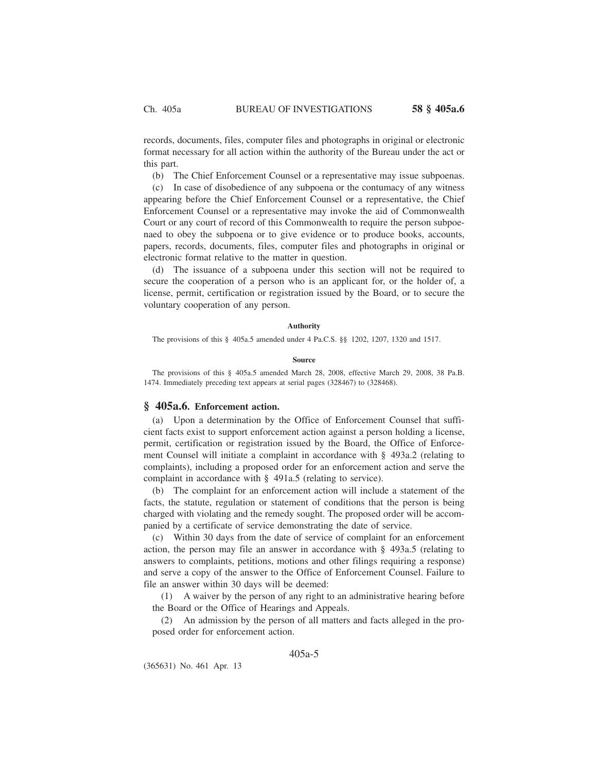records, documents, files, computer files and photographs in original or electronic format necessary for all action within the authority of the Bureau under the act or this part.

(b) The Chief Enforcement Counsel or a representative may issue subpoenas.

(c) In case of disobedience of any subpoena or the contumacy of any witness appearing before the Chief Enforcement Counsel or a representative, the Chief Enforcement Counsel or a representative may invoke the aid of Commonwealth Court or any court of record of this Commonwealth to require the person subpoenaed to obey the subpoena or to give evidence or to produce books, accounts, papers, records, documents, files, computer files and photographs in original or electronic format relative to the matter in question.

(d) The issuance of a subpoena under this section will not be required to secure the cooperation of a person who is an applicant for, or the holder of, a license, permit, certification or registration issued by the Board, or to secure the voluntary cooperation of any person.

#### **Authority**

The provisions of this § 405a.5 amended under 4 Pa.C.S. §§ 1202, 1207, 1320 and 1517.

### **Source**

The provisions of this § 405a.5 amended March 28, 2008, effective March 29, 2008, 38 Pa.B. 1474. Immediately preceding text appears at serial pages (328467) to (328468).

### **§ 405a.6. Enforcement action.**

(a) Upon a determination by the Office of Enforcement Counsel that sufficient facts exist to support enforcement action against a person holding a license, permit, certification or registration issued by the Board, the Office of Enforcement Counsel will initiate a complaint in accordance with § 493a.2 (relating to complaints), including a proposed order for an enforcement action and serve the complaint in accordance with § 491a.5 (relating to service).

(b) The complaint for an enforcement action will include a statement of the facts, the statute, regulation or statement of conditions that the person is being charged with violating and the remedy sought. The proposed order will be accompanied by a certificate of service demonstrating the date of service.

(c) Within 30 days from the date of service of complaint for an enforcement action, the person may file an answer in accordance with § 493a.5 (relating to answers to complaints, petitions, motions and other filings requiring a response) and serve a copy of the answer to the Office of Enforcement Counsel. Failure to file an answer within 30 days will be deemed:

(1) A waiver by the person of any right to an administrative hearing before the Board or the Office of Hearings and Appeals.

(2) An admission by the person of all matters and facts alleged in the proposed order for enforcement action.

# 405a-5

(365631) No. 461 Apr. 13